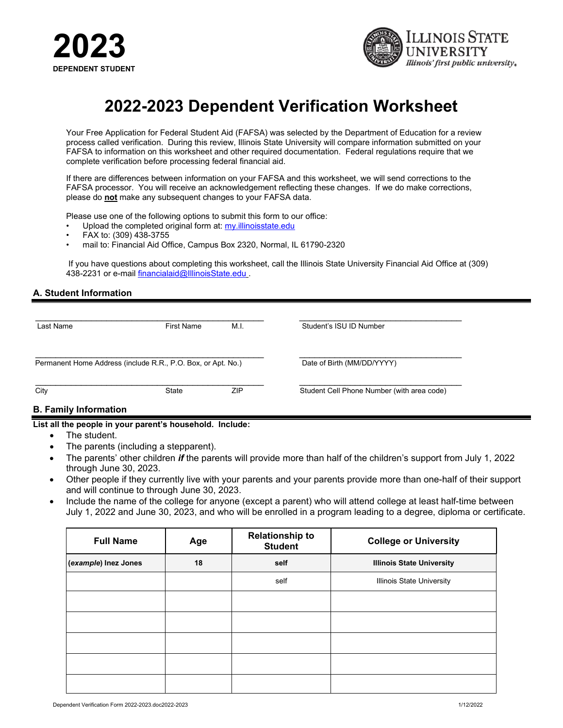



# **2022-2023 Dependent Verification Worksheet**

Your Free Application for Federal Student Aid (FAFSA) was selected by the Department of Education for a review process called verification. During this review, Illinois State University will compare information submitted on your FAFSA to information on this worksheet and other required documentation. Federal regulations require that we complete verification before processing federal financial aid.

If there are differences between information on your FAFSA and this worksheet, we will send corrections to the FAFSA processor. You will receive an acknowledgement reflecting these changes. If we do make corrections, please do **not** make any subsequent changes to your FAFSA data.

Please use one of the following options to submit this form to our office:

- Upload the completed original form at: my.illinoisstate.edu
- FAX to: (309) 438-3755
- mail to: Financial Aid Office, Campus Box 2320, Normal, IL 61790-2320

If you have questions about completing this worksheet, call the Illinois State University Financial Aid Office at (309) 438-2231 or e-mail [financialaid@IllinoisState.edu](mailto:financialaid@IllinoisState.edu) .

#### **A. Student Information**

| Last Name | <b>First Name</b>                                            | M.I. | Student's ISU ID Number                    |
|-----------|--------------------------------------------------------------|------|--------------------------------------------|
|           | Permanent Home Address (include R.R., P.O. Box, or Apt. No.) |      | Date of Birth (MM/DD/YYYY)                 |
| City      | State                                                        | ZIP  | Student Cell Phone Number (with area code) |

#### **B. Family Information**

#### **List all the people in your parent's household. Include:**

- The student.
- The parents (including a stepparent).
- The parents' other children *if* the parents will provide more than half of the children's support from July 1, 2022 through June 30, 2023.
- Other people if they currently live with your parents and your parents provide more than one-half of their support and will continue to through June 30, 2023.
- Include the name of the college for anyone (except a parent) who will attend college at least half-time between July 1, 2022 and June 30, 2023, and who will be enrolled in a program leading to a degree, diploma or certificate.

| <b>Full Name</b>     | Age | <b>Relationship to</b><br><b>Student</b> | <b>College or University</b>     |
|----------------------|-----|------------------------------------------|----------------------------------|
| (example) Inez Jones | 18  | self                                     | <b>Illinois State University</b> |
|                      |     | self                                     | <b>Illinois State University</b> |
|                      |     |                                          |                                  |
|                      |     |                                          |                                  |
|                      |     |                                          |                                  |
|                      |     |                                          |                                  |
|                      |     |                                          |                                  |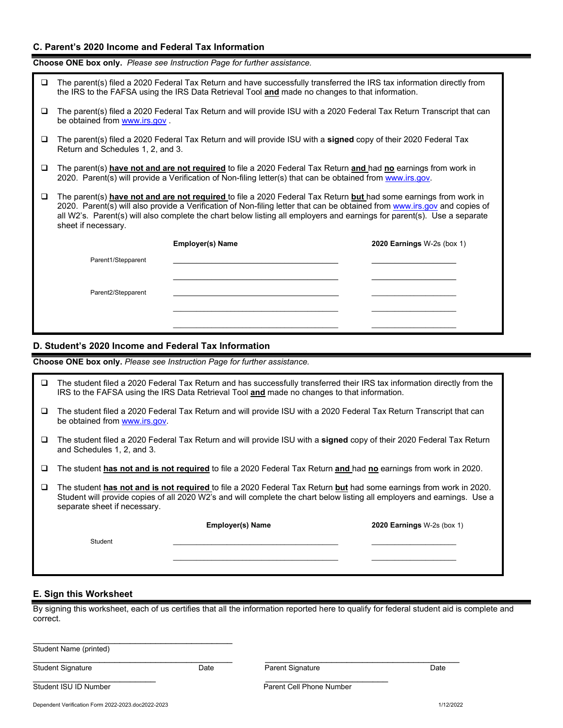### **C. Parent's 2020 Income and Federal Tax Information**

**Choose ONE box only.** *Please see Instruction Page for further assistance.*

| Q      | The parent(s) filed a 2020 Federal Tax Return and have successfully transferred the IRS tax information directly from<br>the IRS to the FAFSA using the IRS Data Retrieval Tool and made no changes to that information.                                                                                                                                                                        |                         |                                   |  |  |
|--------|-------------------------------------------------------------------------------------------------------------------------------------------------------------------------------------------------------------------------------------------------------------------------------------------------------------------------------------------------------------------------------------------------|-------------------------|-----------------------------------|--|--|
| □      | The parent(s) filed a 2020 Federal Tax Return and will provide ISU with a 2020 Federal Tax Return Transcript that can<br>be obtained from www.irs.gov.                                                                                                                                                                                                                                          |                         |                                   |  |  |
| o      | The parent(s) filed a 2020 Federal Tax Return and will provide ISU with a signed copy of their 2020 Federal Tax<br>Return and Schedules 1, 2, and 3.                                                                                                                                                                                                                                            |                         |                                   |  |  |
| u      | The parent(s) have not and are not required to file a 2020 Federal Tax Return and had no earnings from work in<br>2020. Parent(s) will provide a Verification of Non-filing letter(s) that can be obtained from www.irs.gov.                                                                                                                                                                    |                         |                                   |  |  |
| $\Box$ | The parent(s) have not and are not required to file a 2020 Federal Tax Return but had some earnings from work in<br>2020. Parent(s) will also provide a Verification of Non-filing letter that can be obtained from www.irs.gov and copies of<br>all W2's. Parent(s) will also complete the chart below listing all employers and earnings for parent(s). Use a separate<br>sheet if necessary. |                         |                                   |  |  |
|        |                                                                                                                                                                                                                                                                                                                                                                                                 | <b>Employer(s) Name</b> | <b>2020 Earnings W-2s (box 1)</b> |  |  |
|        | Parent1/Stepparent                                                                                                                                                                                                                                                                                                                                                                              |                         |                                   |  |  |
|        | Parent2/Stepparent                                                                                                                                                                                                                                                                                                                                                                              |                         |                                   |  |  |

# **D. Student's 2020 Income and Federal Tax Information**

**Choose ONE box only.** *Please see Instruction Page for further assistance.*

| u | The student filed a 2020 Federal Tax Return and has successfully transferred their IRS tax information directly from the<br>IRS to the FAFSA using the IRS Data Retrieval Tool and made no changes to that information.                                                        |                                                                                                                      |                            |  |  |  |
|---|--------------------------------------------------------------------------------------------------------------------------------------------------------------------------------------------------------------------------------------------------------------------------------|----------------------------------------------------------------------------------------------------------------------|----------------------------|--|--|--|
| ⊔ | be obtained from www.irs.gov.                                                                                                                                                                                                                                                  | The student filed a 2020 Federal Tax Return and will provide ISU with a 2020 Federal Tax Return Transcript that can  |                            |  |  |  |
| u | and Schedules 1, 2, and 3.                                                                                                                                                                                                                                                     | The student filed a 2020 Federal Tax Return and will provide ISU with a signed copy of their 2020 Federal Tax Return |                            |  |  |  |
| ⊔ | The student has not and is not required to file a 2020 Federal Tax Return and had no earnings from work in 2020.                                                                                                                                                               |                                                                                                                      |                            |  |  |  |
| ⊔ | The student has not and is not required to file a 2020 Federal Tax Return but had some earnings from work in 2020.<br>Student will provide copies of all 2020 W2's and will complete the chart below listing all employers and earnings. Use a<br>separate sheet if necessary. |                                                                                                                      |                            |  |  |  |
|   |                                                                                                                                                                                                                                                                                | <b>Employer(s) Name</b>                                                                                              | 2020 Earnings W-2s (box 1) |  |  |  |
|   | Student                                                                                                                                                                                                                                                                        |                                                                                                                      |                            |  |  |  |
|   |                                                                                                                                                                                                                                                                                |                                                                                                                      |                            |  |  |  |

### **E. Sign this Worksheet**

By signing this worksheet, each of us certifies that all the information reported here to qualify for federal student aid is complete and correct.

| Student Name (printed)   |      |                  |      |
|--------------------------|------|------------------|------|
| <b>Student Signature</b> | Date | Parent Signature | Date |

Student ISU ID Number Parent Cell Phone Number